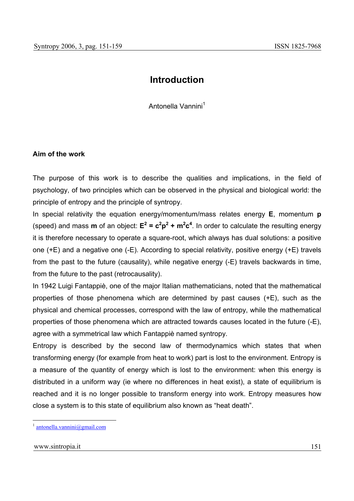# **Introduction**

Antonella Vannini<sup>1</sup>

# **Aim of the work**

The purpose of this work is to describe the qualities and implications, in the field of psychology, of two principles which can be observed in the physical and biological world: the principle of entropy and the principle of syntropy.

In special relativity the equation energy/momentum/mass relates energy **E**, momentum **p** (speed) and mass **m** of an object:  $E^2 = c^2p^2 + m^2c^4$ . In order to calculate the resulting energy it is therefore necessary to operate a square-root, which always has dual solutions: a positive one (+E) and a negative one (-E). According to special relativity, positive energy (+E) travels from the past to the future (causality), while negative energy (-E) travels backwards in time, from the future to the past (retrocausality).

In 1942 Luigi Fantappiè, one of the major Italian mathematicians, noted that the mathematical properties of those phenomena which are determined by past causes (+E), such as the physical and chemical processes, correspond with the law of entropy, while the mathematical properties of those phenomena which are attracted towards causes located in the future (-E), agree with a symmetrical law which Fantappiè named syntropy*.*

Entropy is described by the second law of thermodynamics which states that when transforming energy (for example from heat to work) part is lost to the environment. Entropy is a measure of the quantity of energy which is lost to the environment: when this energy is distributed in a uniform way (ie where no differences in heat exist), a state of equilibrium is reached and it is no longer possible to transform energy into work. Entropy measures how close a system is to this state of equilibrium also known as "heat death".

 $^{1}$  antonella.vannini@gmail.com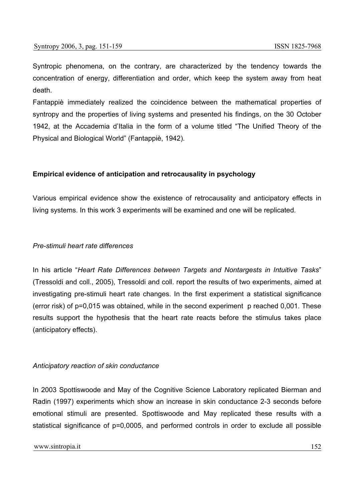Syntropic phenomena, on the contrary, are characterized by the tendency towards the concentration of energy, differentiation and order, which keep the system away from heat death.

Fantappiè immediately realized the coincidence between the mathematical properties of syntropy and the properties of living systems and presented his findings, on the 30 October 1942, at the Accademia d'Italia in the form of a volume titled "The Unified Theory of the Physical and Biological World" (Fantappiè, 1942).

#### **Empirical evidence of anticipation and retrocausality in psychology**

Various empirical evidence show the existence of retrocausality and anticipatory effects in living systems. In this work 3 experiments will be examined and one will be replicated.

#### *Pre-stimuli heart rate differences*

In his article "*Heart Rate Differences between Targets and Nontargests in Intuitive Tasks*" (Tressoldi and coll., 2005), Tressoldi and coll. report the results of two experiments, aimed at investigating pre-stimuli heart rate changes. In the first experiment a statistical significance (error risk) of p=0,015 was obtained, while in the second experiment p reached 0,001. These results support the hypothesis that the heart rate reacts before the stimulus takes place (anticipatory effects).

#### *Anticipatory reaction of skin conductance*

In 2003 Spottiswoode and May of the Cognitive Science Laboratory replicated Bierman and Radin (1997) experiments which show an increase in skin conductance 2-3 seconds before emotional stimuli are presented. Spottiswoode and May replicated these results with a statistical significance of p=0,0005, and performed controls in order to exclude all possible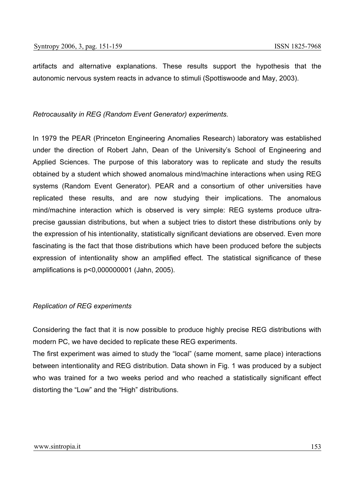artifacts and alternative explanations. These results support the hypothesis that the autonomic nervous system reacts in advance to stimuli (Spottiswoode and May, 2003).

# *Retrocausality in REG (Random Event Generator) experiments.*

In 1979 the PEAR (Princeton Engineering Anomalies Research) laboratory was established under the direction of Robert Jahn, Dean of the University's School of Engineering and Applied Sciences. The purpose of this laboratory was to replicate and study the results obtained by a student which showed anomalous mind/machine interactions when using REG systems (Random Event Generator). PEAR and a consortium of other universities have replicated these results, and are now studying their implications. The anomalous mind/machine interaction which is observed is very simple: REG systems produce ultraprecise gaussian distributions, but when a subject tries to distort these distributions only by the expression of his intentionality, statistically significant deviations are observed. Even more fascinating is the fact that those distributions which have been produced before the subjects expression of intentionality show an amplified effect. The statistical significance of these amplifications is p<0,000000001 (Jahn, 2005).

### *Replication of REG experiments*

Considering the fact that it is now possible to produce highly precise REG distributions with modern PC, we have decided to replicate these REG experiments.

The first experiment was aimed to study the "local" (same moment, same place) interactions between intentionality and REG distribution. Data shown in Fig. 1 was produced by a subject who was trained for a two weeks period and who reached a statistically significant effect distorting the "Low" and the "High" distributions.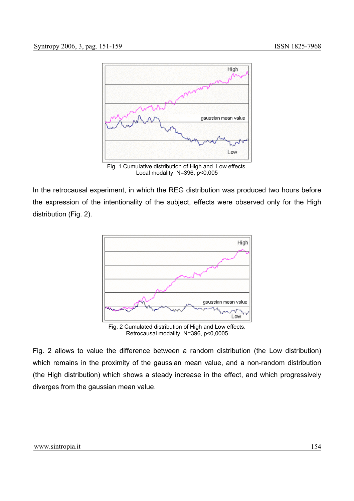

Local modality, N=396, p<0,005

In the retrocausal experiment, in which the REG distribution was produced two hours before the expression of the intentionality of the subject, effects were observed only for the High distribution (Fig. 2).



Fig. 2 allows to value the difference between a random distribution (the Low distribution) which remains in the proximity of the gaussian mean value, and a non-random distribution (the High distribution) which shows a steady increase in the effect, and which progressively diverges from the gaussian mean value.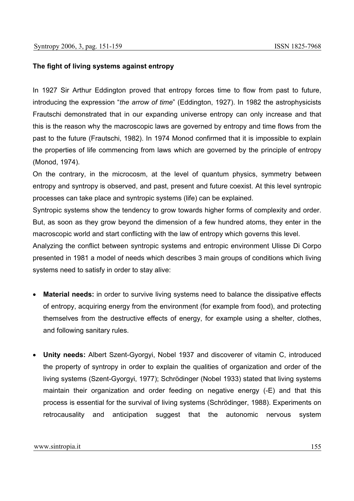# **The fight of living systems against entropy**

In 1927 Sir Arthur Eddington proved that entropy forces time to flow from past to future, introducing the expression "*the arrow of time*" (Eddington, 1927). In 1982 the astrophysicists Frautschi demonstrated that in our expanding universe entropy can only increase and that this is the reason why the macroscopic laws are governed by entropy and time flows from the past to the future (Frautschi, 1982). In 1974 Monod confirmed that it is impossible to explain the properties of life commencing from laws which are governed by the principle of entropy (Monod, 1974).

On the contrary, in the microcosm, at the level of quantum physics, symmetry between entropy and syntropy is observed, and past, present and future coexist. At this level syntropic processes can take place and syntropic systems (life) can be explained.

Syntropic systems show the tendency to grow towards higher forms of complexity and order. But, as soon as they grow beyond the dimension of a few hundred atoms, they enter in the macroscopic world and start conflicting with the law of entropy which governs this level.

Analyzing the conflict between syntropic systems and entropic environment Ulisse Di Corpo presented in 1981 a model of needs which describes 3 main groups of conditions which living systems need to satisfy in order to stay alive:

- **Material needs:** in order to survive living systems need to balance the dissipative effects of entropy, acquiring energy from the environment (for example from food), and protecting themselves from the destructive effects of energy, for example using a shelter, clothes, and following sanitary rules.
- **Unity needs:** Albert Szent-Gyorgyi, Nobel 1937 and discoverer of vitamin C, introduced the property of syntropy in order to explain the qualities of organization and order of the living systems (Szent-Gyorgyi, 1977); Schrödinger (Nobel 1933) stated that living systems maintain their organization and order feeding on negative energy (-E) and that this process is essential for the survival of living systems (Schrödinger, 1988). Experiments on retrocausality and anticipation suggest that the autonomic nervous system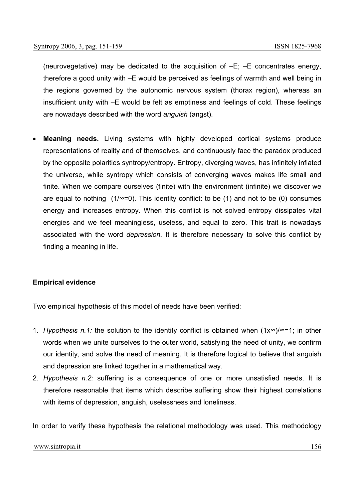(neurovegetative) may be dedicated to the acquisition of –E; –E concentrates energy, therefore a good unity with –E would be perceived as feelings of warmth and well being in the regions governed by the autonomic nervous system (thorax region), whereas an insufficient unity with –E would be felt as emptiness and feelings of cold. These feelings are nowadays described with the word *anguish* (angst).

**Meaning needs.** Living systems with highly developed cortical systems produce representations of reality and of themselves, and continuously face the paradox produced by the opposite polarities syntropy/entropy. Entropy, diverging waves, has infinitely inflated the universe, while syntropy which consists of converging waves makes life small and finite. When we compare ourselves (finite) with the environment (infinite) we discover we are equal to nothing  $(1/\infty=0)$ . This identity conflict: to be (1) and not to be (0) consumes energy and increases entropy. When this conflict is not solved entropy dissipates vital energies and we feel meaningless, useless, and equal to zero. This trait is nowadays associated with the word *depression.* It is therefore necessary to solve this conflict by finding a meaning in life.

#### **Empirical evidence**

Two empirical hypothesis of this model of needs have been verified:

- 1. *Hypothesis n.1:* the solution to the identity conflict is obtained when (1x∞)/∞=1; in other words when we unite ourselves to the outer world, satisfying the need of unity, we confirm our identity, and solve the need of meaning. It is therefore logical to believe that anguish and depression are linked together in a mathematical way.
- 2. *Hypothesis n.2:* suffering is a consequence of one or more unsatisfied needs. It is therefore reasonable that items which describe suffering show their highest correlations with items of depression, anguish, uselessness and loneliness.

In order to verify these hypothesis the relational methodology was used. This methodology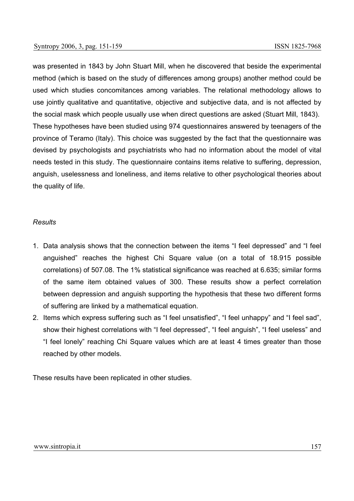was presented in 1843 by John Stuart Mill, when he discovered that beside the experimental method (which is based on the study of differences among groups) another method could be used which studies concomitances among variables. The relational methodology allows to use jointly qualitative and quantitative, objective and subjective data, and is not affected by the social mask which people usually use when direct questions are asked (Stuart Mill, 1843). These hypotheses have been studied using 974 questionnaires answered by teenagers of the province of Teramo (Italy). This choice was suggested by the fact that the questionnaire was devised by psychologists and psychiatrists who had no information about the model of vital needs tested in this study. The questionnaire contains items relative to suffering, depression, anguish, uselessness and loneliness, and items relative to other psychological theories about the quality of life.

# *Results*

- 1. Data analysis shows that the connection between the items "I feel depressed" and "I feel anguished" reaches the highest Chi Square value (on a total of 18.915 possible correlations) of 507.08. The 1% statistical significance was reached at 6.635; similar forms of the same item obtained values of 300. These results show a perfect correlation between depression and anguish supporting the hypothesis that these two different forms of suffering are linked by a mathematical equation.
- 2. Items which express suffering such as "I feel unsatisfied", "I feel unhappy" and "I feel sad", show their highest correlations with "I feel depressed", "I feel anguish", "I feel useless" and "I feel lonely" reaching Chi Square values which are at least 4 times greater than those reached by other models.

These results have been replicated in other studies.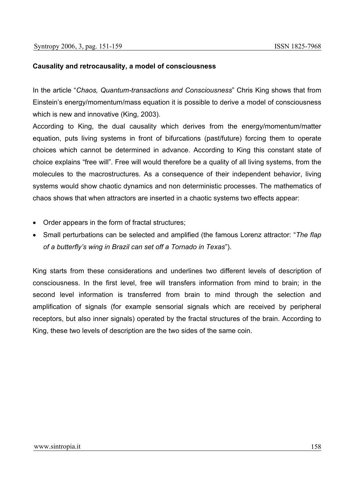# **Causality and retrocausality, a model of consciousness**

In the article "*Chaos, Quantum-transactions and Consciousness*" Chris King shows that from Einstein's energy/momentum/mass equation it is possible to derive a model of consciousness which is new and innovative (King, 2003).

According to King, the dual causality which derives from the energy/momentum/matter equation, puts living systems in front of bifurcations (past/future) forcing them to operate choices which cannot be determined in advance. According to King this constant state of choice explains "free will". Free will would therefore be a quality of all living systems, from the molecules to the macrostructures. As a consequence of their independent behavior, living systems would show chaotic dynamics and non deterministic processes. The mathematics of chaos shows that when attractors are inserted in a chaotic systems two effects appear:

- Order appears in the form of fractal structures;
- Small perturbations can be selected and amplified (the famous Lorenz attractor: "*The flap of a butterfly's wing in Brazil can set off a Tornado in Texas*").

King starts from these considerations and underlines two different levels of description of consciousness. In the first level, free will transfers information from mind to brain; in the second level information is transferred from brain to mind through the selection and amplification of signals (for example sensorial signals which are received by peripheral receptors, but also inner signals) operated by the fractal structures of the brain. According to King, these two levels of description are the two sides of the same coin.